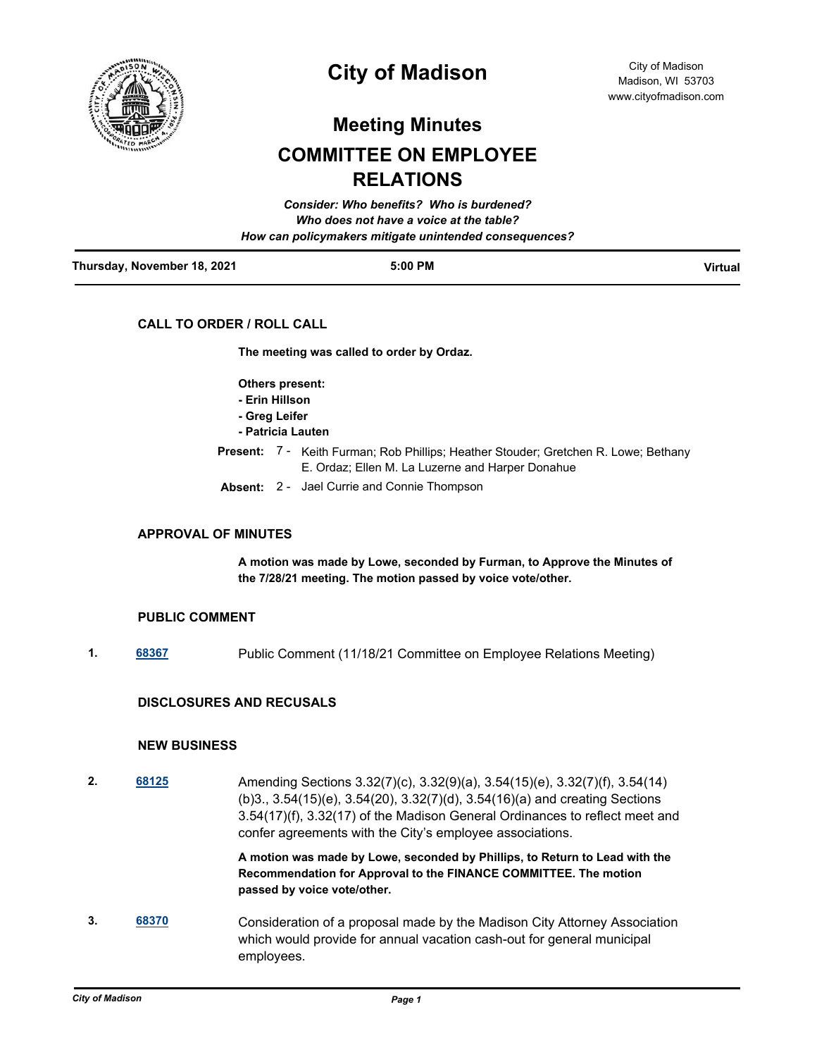

# **City of Madison**

## **Meeting Minutes**

# **COMMITTEE ON EMPLOYEE RELATIONS**

|                             | Consider: Who benefits? Who is burdened?               |                |
|-----------------------------|--------------------------------------------------------|----------------|
|                             | Who does not have a voice at the table?                |                |
|                             | How can policymakers mitigate unintended consequences? |                |
| Thursday, November 18, 2021 | $5:00$ PM                                              | <b>Virtual</b> |

### **CALL TO ORDER / ROLL CALL**

**The meeting was called to order by Ordaz.**

**Others present:**

- **Erin Hillson**
- **Greg Leifer**
- **Patricia Lauten**
- Present: 7 Keith Furman; Rob Phillips; Heather Stouder; Gretchen R. Lowe; Bethany E. Ordaz; Ellen M. La Luzerne and Harper Donahue
- **Absent:** 2 Jael Currie and Connie Thompson

### **APPROVAL OF MINUTES**

**A motion was made by Lowe, seconded by Furman, to Approve the Minutes of the 7/28/21 meeting. The motion passed by voice vote/other.**

### **PUBLIC COMMENT**

**1. [68367](http://madison.legistar.com/gateway.aspx?m=l&id=/matter.aspx?key=80063)** Public Comment (11/18/21 Committee on Employee Relations Meeting)

### **DISCLOSURES AND RECUSALS**

#### **NEW BUSINESS**

**2. [68125](http://madison.legistar.com/gateway.aspx?m=l&id=/matter.aspx?key=79882)** Amending Sections 3.32(7)(c), 3.32(9)(a), 3.54(15)(e), 3.32(7)(f), 3.54(14) (b)3., 3.54(15)(e), 3.54(20), 3.32(7)(d), 3.54(16)(a) and creating Sections 3.54(17)(f), 3.32(17) of the Madison General Ordinances to reflect meet and confer agreements with the City's employee associations.

> **A motion was made by Lowe, seconded by Phillips, to Return to Lead with the Recommendation for Approval to the FINANCE COMMITTEE. The motion passed by voice vote/other.**

**3. [68370](http://madison.legistar.com/gateway.aspx?m=l&id=/matter.aspx?key=80066)** Consideration of a proposal made by the Madison City Attorney Association which would provide for annual vacation cash-out for general municipal employees.